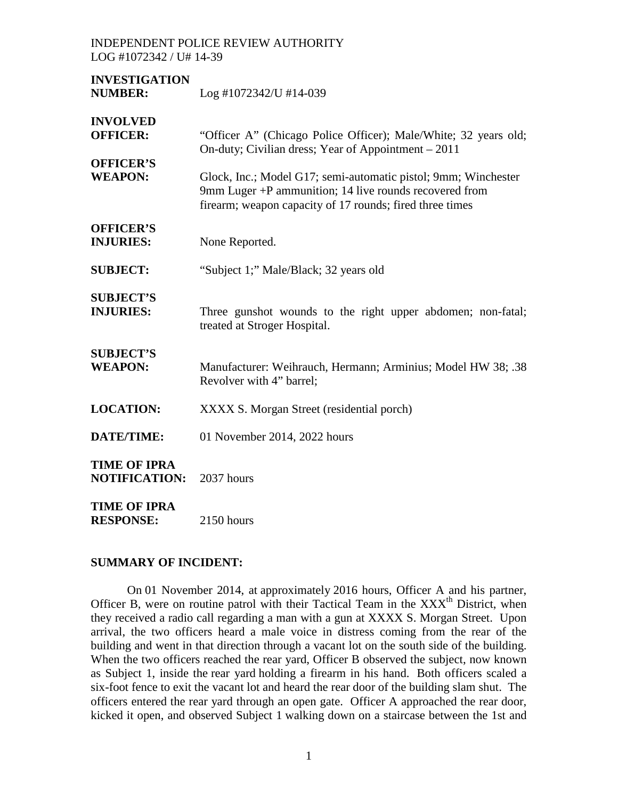**INVESTIGATION NUMBER:** Log #1072342/U #14-039 **INVOLVED OFFICER:** "Officer A" (Chicago Police Officer): Male/White: 32 years old: On-duty; Civilian dress; Year of Appointment – 2011 **OFFICER'S WEAPON:** Glock, Inc.; Model G17; semi-automatic pistol; 9mm; Winchester 9mm Luger +P ammunition; 14 live rounds recovered from firearm; weapon capacity of 17 rounds; fired three times **OFFICER'S INJURIES:** None Reported. **SUBJECT:** "Subject 1;" Male/Black; 32 years old **SUBJECT'S INJURIES:** Three gunshot wounds to the right upper abdomen; non-fatal; treated at Stroger Hospital. **SUBJECT'S WEAPON:** Manufacturer: Weihrauch, Hermann; Arminius; Model HW 38; .38 Revolver with 4" barrel; **LOCATION:** XXXX S. Morgan Street (residential porch) **DATE/TIME:** 01 November 2014, 2022 hours **TIME OF IPRA NOTIFICATION:** 2037 hours **TIME OF IPRA RESPONSE:** 2150 hours

#### **SUMMARY OF INCIDENT:**

On 01 November 2014, at approximately 2016 hours, Officer A and his partner, Officer B, were on routine patrol with their Tactical Team in the  $XXX<sup>th</sup>$  District, when they received a radio call regarding a man with a gun at XXXX S. Morgan Street. Upon arrival, the two officers heard a male voice in distress coming from the rear of the building and went in that direction through a vacant lot on the south side of the building. When the two officers reached the rear yard, Officer B observed the subject, now known as Subject 1, inside the rear yard holding a firearm in his hand. Both officers scaled a six-foot fence to exit the vacant lot and heard the rear door of the building slam shut. The officers entered the rear yard through an open gate. Officer A approached the rear door, kicked it open, and observed Subject 1 walking down on a staircase between the 1st and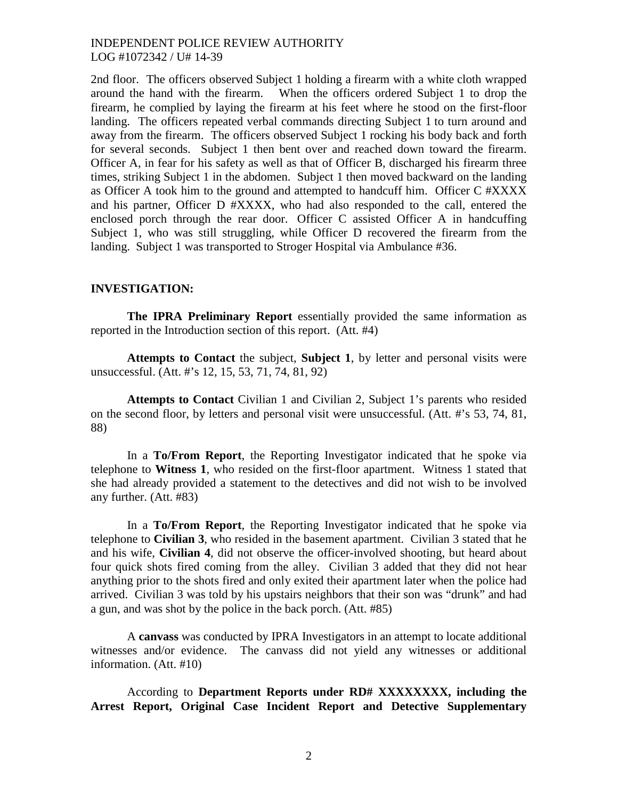2nd floor. The officers observed Subject 1 holding a firearm with a white cloth wrapped around the hand with the firearm. When the officers ordered Subject 1 to drop the firearm, he complied by laying the firearm at his feet where he stood on the first-floor landing. The officers repeated verbal commands directing Subject 1 to turn around and away from the firearm. The officers observed Subject 1 rocking his body back and forth for several seconds. Subject 1 then bent over and reached down toward the firearm. Officer A, in fear for his safety as well as that of Officer B, discharged his firearm three times, striking Subject 1 in the abdomen. Subject 1 then moved backward on the landing as Officer A took him to the ground and attempted to handcuff him. Officer C #XXXX and his partner, Officer D #XXXX, who had also responded to the call, entered the enclosed porch through the rear door. Officer C assisted Officer A in handcuffing Subject 1, who was still struggling, while Officer D recovered the firearm from the landing. Subject 1 was transported to Stroger Hospital via Ambulance #36.

#### **INVESTIGATION:**

**The IPRA Preliminary Report** essentially provided the same information as reported in the Introduction section of this report. (Att. #4)

**Attempts to Contact** the subject, **Subject 1**, by letter and personal visits were unsuccessful. (Att. #'s 12, 15, 53, 71, 74, 81, 92)

**Attempts to Contact** Civilian 1 and Civilian 2, Subject 1's parents who resided on the second floor, by letters and personal visit were unsuccessful. (Att. #'s 53, 74, 81, 88)

In a **To/From Report**, the Reporting Investigator indicated that he spoke via telephone to **Witness 1**, who resided on the first-floor apartment. Witness 1 stated that she had already provided a statement to the detectives and did not wish to be involved any further. (Att. #83)

In a **To/From Report**, the Reporting Investigator indicated that he spoke via telephone to **Civilian 3**, who resided in the basement apartment. Civilian 3 stated that he and his wife, **Civilian 4**, did not observe the officer-involved shooting, but heard about four quick shots fired coming from the alley. Civilian 3 added that they did not hear anything prior to the shots fired and only exited their apartment later when the police had arrived. Civilian 3 was told by his upstairs neighbors that their son was "drunk" and had a gun, and was shot by the police in the back porch. (Att. #85)

A **canvass** was conducted by IPRA Investigators in an attempt to locate additional witnesses and/or evidence. The canvass did not yield any witnesses or additional information. (Att. #10)

According to **Department Reports under RD# XXXXXXXX, including the Arrest Report, Original Case Incident Report and Detective Supplementary**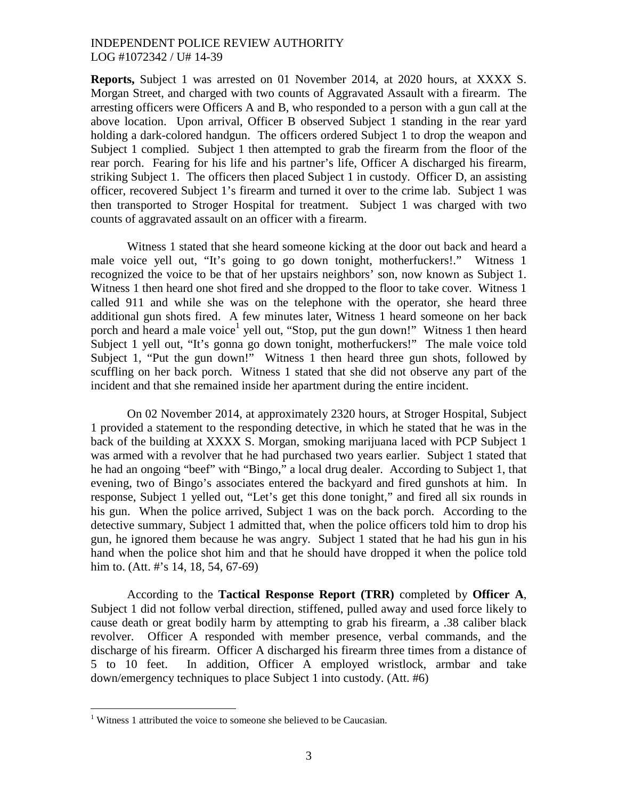**Reports,** Subject 1 was arrested on 01 November 2014, at 2020 hours, at XXXX S. Morgan Street, and charged with two counts of Aggravated Assault with a firearm. The arresting officers were Officers A and B, who responded to a person with a gun call at the above location. Upon arrival, Officer B observed Subject 1 standing in the rear yard holding a dark-colored handgun. The officers ordered Subject 1 to drop the weapon and Subject 1 complied. Subject 1 then attempted to grab the firearm from the floor of the rear porch. Fearing for his life and his partner's life, Officer A discharged his firearm, striking Subject 1. The officers then placed Subject 1 in custody. Officer D, an assisting officer, recovered Subject 1's firearm and turned it over to the crime lab. Subject 1 was then transported to Stroger Hospital for treatment. Subject 1 was charged with two counts of aggravated assault on an officer with a firearm.

Witness 1 stated that she heard someone kicking at the door out back and heard a male voice yell out, "It's going to go down tonight, motherfuckers!." Witness 1 recognized the voice to be that of her upstairs neighbors' son, now known as Subject 1. Witness 1 then heard one shot fired and she dropped to the floor to take cover. Witness 1 called 911 and while she was on the telephone with the operator, she heard three additional gun shots fired. A few minutes later, Witness 1 heard someone on her back porchand heard a male voice<sup>1</sup> yell out, "Stop, put the gun down!" Witness 1 then heard Subject 1 yell out, "It's gonna go down tonight, motherfuckers!" The male voice told Subject 1, "Put the gun down!" Witness 1 then heard three gun shots, followed by scuffling on her back porch. Witness 1 stated that she did not observe any part of the incident and that she remained inside her apartment during the entire incident.

On 02 November 2014, at approximately 2320 hours, at Stroger Hospital, Subject 1 provided a statement to the responding detective, in which he stated that he was in the back of the building at XXXX S. Morgan, smoking marijuana laced with PCP Subject 1 was armed with a revolver that he had purchased two years earlier. Subject 1 stated that he had an ongoing "beef" with "Bingo," a local drug dealer. According to Subject 1, that evening, two of Bingo's associates entered the backyard and fired gunshots at him. In response, Subject 1 yelled out, "Let's get this done tonight," and fired all six rounds in his gun. When the police arrived, Subject 1 was on the back porch. According to the detective summary, Subject 1 admitted that, when the police officers told him to drop his gun, he ignored them because he was angry. Subject 1 stated that he had his gun in his hand when the police shot him and that he should have dropped it when the police told him to. (Att. #'s 14, 18, 54, 67-69)

According to the **Tactical Response Report (TRR)** completed by **Officer A**, Subject 1 did not follow verbal direction, stiffened, pulled away and used force likely to cause death or great bodily harm by attempting to grab his firearm, a .38 caliber black revolver. Officer A responded with member presence, verbal commands, and the discharge of his firearm. Officer A discharged his firearm three times from a distance of 5 to 10 feet. In addition, Officer A employed wristlock, armbar and take down/emergency techniques to place Subject 1 into custody. (Att. #6)

<span id="page-2-0"></span> $1$  Witness 1 attributed the voice to someone she believed to be Caucasian.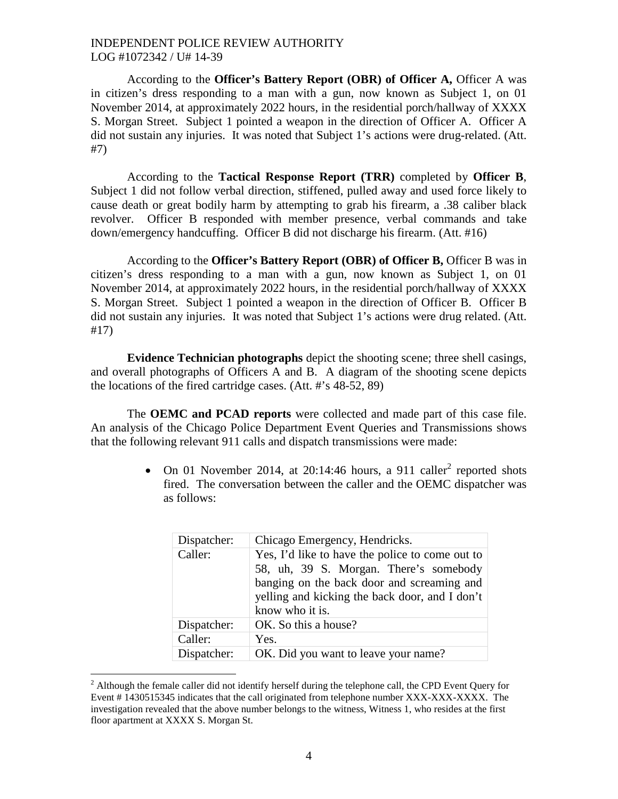According to the **Officer's Battery Report (OBR) of Officer A,** Officer A was in citizen's dress responding to a man with a gun, now known as Subject 1, on 01 November 2014, at approximately 2022 hours, in the residential porch/hallway of XXXX S. Morgan Street. Subject 1 pointed a weapon in the direction of Officer A. Officer A did not sustain any injuries. It was noted that Subject 1's actions were drug-related. (Att. #7)

According to the **Tactical Response Report (TRR)** completed by **Officer B**, Subject 1 did not follow verbal direction, stiffened, pulled away and used force likely to cause death or great bodily harm by attempting to grab his firearm, a .38 caliber black revolver. Officer B responded with member presence, verbal commands and take down/emergency handcuffing. Officer B did not discharge his firearm. (Att. #16)

According to the **Officer's Battery Report (OBR) of Officer B,** Officer B was in citizen's dress responding to a man with a gun, now known as Subject 1, on 01 November 2014, at approximately 2022 hours, in the residential porch/hallway of XXXX S. Morgan Street. Subject 1 pointed a weapon in the direction of Officer B. Officer B did not sustain any injuries. It was noted that Subject 1's actions were drug related. (Att. #17)

**Evidence Technician photographs** depict the shooting scene; three shell casings, and overall photographs of Officers A and B. A diagram of the shooting scene depicts the locations of the fired cartridge cases. (Att. #'s 48-52, 89)

The **OEMC and PCAD reports** were collected and made part of this case file. An analysis of the Chicago Police Department Event Queries and Transmissions shows that the following relevant 911 calls and dispatch transmissions were made:

> •On 01 Novembe[r](#page-3-0) 2014, at 20:14:46 hours, a 911 caller<sup>2</sup> reported shots fired. The conversation between the caller and the OEMC dispatcher was as follows:

| Dispatcher: | Chicago Emergency, Hendricks.                                                                                                                                                                                |
|-------------|--------------------------------------------------------------------------------------------------------------------------------------------------------------------------------------------------------------|
| Caller:     | Yes, I'd like to have the police to come out to<br>58, uh, 39 S. Morgan. There's somebody<br>banging on the back door and screaming and<br>yelling and kicking the back door, and I don't<br>know who it is. |
| Dispatcher: | OK. So this a house?                                                                                                                                                                                         |
| Caller:     | Yes.                                                                                                                                                                                                         |
| Dispatcher: | OK. Did you want to leave your name?                                                                                                                                                                         |

<span id="page-3-0"></span> $2$  Although the female caller did not identify herself during the telephone call, the CPD Event Query for Event # 1430515345 indicates that the call originated from telephone number XXX-XXX-XXXX. The investigation revealed that the above number belongs to the witness, Witness 1, who resides at the first floor apartment at XXXX S. Morgan St.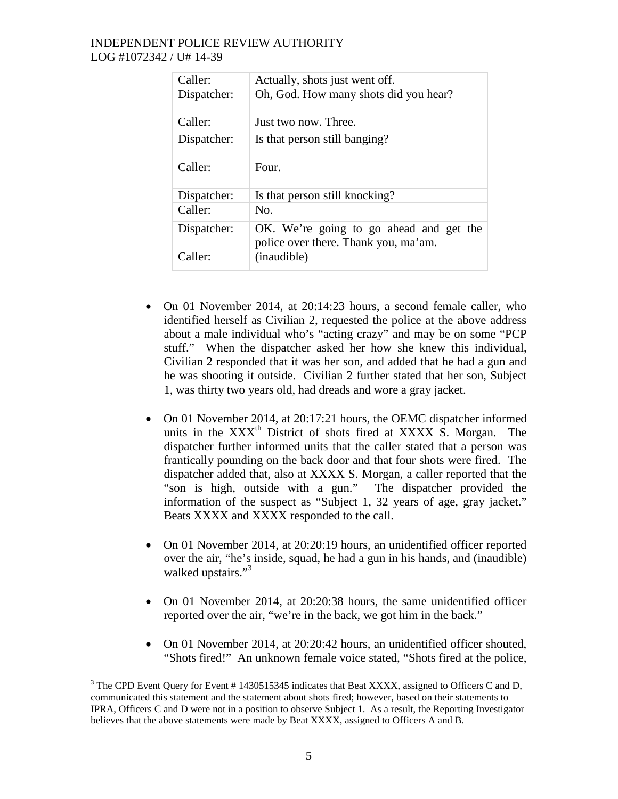| Caller:     | Actually, shots just went off.                                                  |
|-------------|---------------------------------------------------------------------------------|
| Dispatcher: | Oh, God. How many shots did you hear?                                           |
| Caller:     | Just two now. Three.                                                            |
| Dispatcher: | Is that person still banging?                                                   |
| Caller:     | Four.                                                                           |
| Dispatcher: | Is that person still knocking?                                                  |
| Caller:     | N <sub>O</sub>                                                                  |
| Dispatcher: | OK. We're going to go ahead and get the<br>police over there. Thank you, ma'am. |
| Caller:     | (inaudible)                                                                     |

- On 01 November 2014, at 20:14:23 hours, a second female caller, who identified herself as Civilian 2, requested the police at the above address about a male individual who's "acting crazy" and may be on some "PCP stuff." When the dispatcher asked her how she knew this individual, Civilian 2 responded that it was her son, and added that he had a gun and he was shooting it outside. Civilian 2 further stated that her son, Subject 1, was thirty two years old, had dreads and wore a gray jacket.
- On 01 November 2014, at 20:17:21 hours, the OEMC dispatcher informed units in the  $XXX<sup>th</sup>$  District of shots fired at  $XXXX$  S. Morgan. The dispatcher further informed units that the caller stated that a person was frantically pounding on the back door and that four shots were fired. The dispatcher added that, also at XXXX S. Morgan, a caller reported that the "son is high, outside with a gun." The dispatcher provided the information of the suspect as "Subject 1, 32 years of age, gray jacket." Beats XXXX and XXXX responded to the call.
- On 01 November 2014, at 20:20:19 hours, an unidentified officer reported over the air, "he's inside, squad, he had a gun in his hands, and (inaudible) walked upstairs."<sup>[3](#page-4-0)</sup>
- On 01 November 2014, at 20:20:38 hours, the same unidentified officer reported over the air, "we're in the back, we got him in the back."
- On 01 November 2014, at 20:20:42 hours, an unidentified officer shouted, "Shots fired!" An unknown female voice stated, "Shots fired at the police,

<span id="page-4-0"></span> $3$  The CPD Event Query for Event # 1430515345 indicates that Beat XXXX, assigned to Officers C and D, communicated this statement and the statement about shots fired; however, based on their statements to IPRA, Officers C and D were not in a position to observe Subject 1. As a result, the Reporting Investigator believes that the above statements were made by Beat XXXX, assigned to Officers A and B.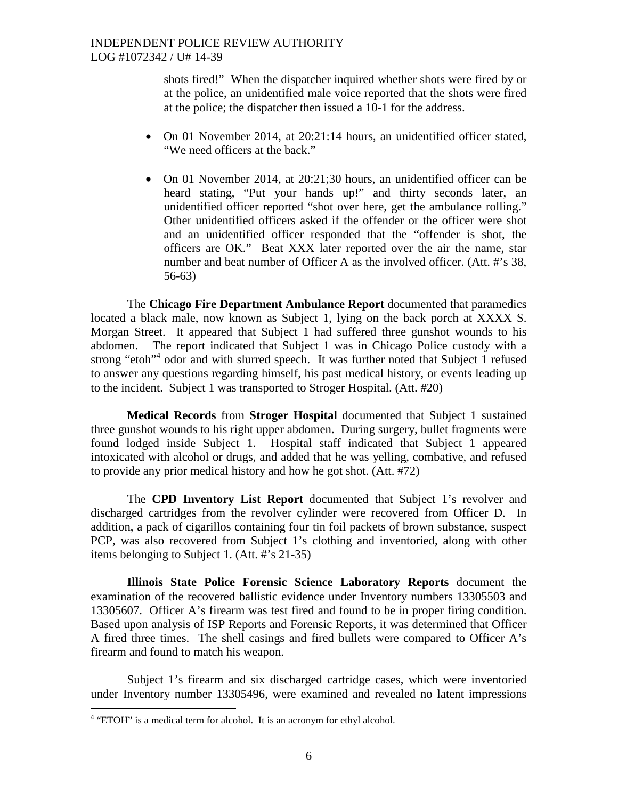shots fired!" When the dispatcher inquired whether shots were fired by or at the police, an unidentified male voice reported that the shots were fired at the police; the dispatcher then issued a 10-1 for the address.

- On 01 November 2014, at 20:21:14 hours, an unidentified officer stated, "We need officers at the back."
- On 01 November 2014, at 20:21;30 hours, an unidentified officer can be heard stating, "Put your hands up!" and thirty seconds later, an unidentified officer reported "shot over here, get the ambulance rolling." Other unidentified officers asked if the offender or the officer were shot and an unidentified officer responded that the "offender is shot, the officers are OK." Beat XXX later reported over the air the name, star number and beat number of Officer A as the involved officer. (Att. #'s 38, 56-63)

The **Chicago Fire Department Ambulance Report** documented that paramedics located a black male, now known as Subject 1, lying on the back porch at XXXX S. Morgan Street. It appeared that Subject 1 had suffered three gunshot wounds to his abdomen. The report indicated that Subject 1 was in Chicago Police custody with a strong "etoh"<sup>[4](#page-5-0)</sup> odor and with slurred speech. It was further noted that Subject 1 refused to answer any questions regarding himself, his past medical history, or events leading up to the incident. Subject 1 was transported to Stroger Hospital. (Att. #20)

**Medical Records** from **Stroger Hospital** documented that Subject 1 sustained three gunshot wounds to his right upper abdomen. During surgery, bullet fragments were found lodged inside Subject 1. Hospital staff indicated that Subject 1 appeared intoxicated with alcohol or drugs, and added that he was yelling, combative, and refused to provide any prior medical history and how he got shot. (Att. #72)

The **CPD Inventory List Report** documented that Subject 1's revolver and discharged cartridges from the revolver cylinder were recovered from Officer D. In addition, a pack of cigarillos containing four tin foil packets of brown substance, suspect PCP, was also recovered from Subject 1's clothing and inventoried, along with other items belonging to Subject 1. (Att. #'s 21-35)

**Illinois State Police Forensic Science Laboratory Reports** document the examination of the recovered ballistic evidence under Inventory numbers 13305503 and 13305607. Officer A's firearm was test fired and found to be in proper firing condition. Based upon analysis of ISP Reports and Forensic Reports, it was determined that Officer A fired three times. The shell casings and fired bullets were compared to Officer A's firearm and found to match his weapon.

Subject 1's firearm and six discharged cartridge cases, which were inventoried under Inventory number 13305496, were examined and revealed no latent impressions

<span id="page-5-0"></span><sup>&</sup>lt;sup>4</sup> "ETOH" is a medical term for alcohol. It is an acronym for ethyl alcohol.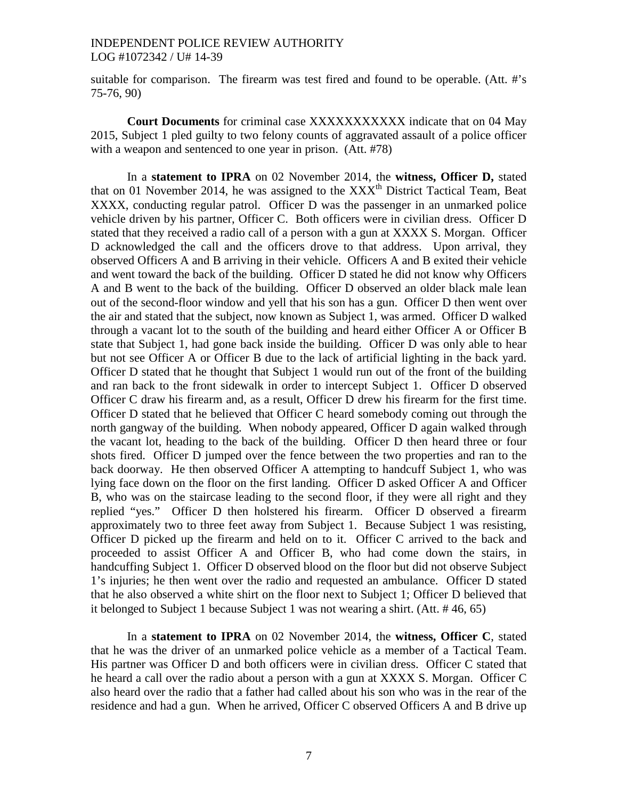suitable for comparison. The firearm was test fired and found to be operable. (Att. #'s 75-76, 90)

**Court Documents** for criminal case XXXXXXXXXXX indicate that on 04 May 2015, Subject 1 pled guilty to two felony counts of aggravated assault of a police officer with a weapon and sentenced to one year in prison. (Att. #78)

In a **statement to IPRA** on 02 November 2014, the **witness, Officer D,** stated that on 01 November 2014, he was assigned to the  $XXX<sup>th</sup>$  District Tactical Team, Beat XXXX, conducting regular patrol. Officer D was the passenger in an unmarked police vehicle driven by his partner, Officer C. Both officers were in civilian dress. Officer D stated that they received a radio call of a person with a gun at XXXX S. Morgan. Officer D acknowledged the call and the officers drove to that address. Upon arrival, they observed Officers A and B arriving in their vehicle. Officers A and B exited their vehicle and went toward the back of the building. Officer D stated he did not know why Officers A and B went to the back of the building. Officer D observed an older black male lean out of the second-floor window and yell that his son has a gun. Officer D then went over the air and stated that the subject, now known as Subject 1, was armed. Officer D walked through a vacant lot to the south of the building and heard either Officer A or Officer B state that Subject 1, had gone back inside the building. Officer D was only able to hear but not see Officer A or Officer B due to the lack of artificial lighting in the back yard. Officer D stated that he thought that Subject 1 would run out of the front of the building and ran back to the front sidewalk in order to intercept Subject 1. Officer D observed Officer C draw his firearm and, as a result, Officer D drew his firearm for the first time. Officer D stated that he believed that Officer C heard somebody coming out through the north gangway of the building. When nobody appeared, Officer D again walked through the vacant lot, heading to the back of the building. Officer D then heard three or four shots fired. Officer D jumped over the fence between the two properties and ran to the back doorway. He then observed Officer A attempting to handcuff Subject 1, who was lying face down on the floor on the first landing. Officer D asked Officer A and Officer B, who was on the staircase leading to the second floor, if they were all right and they replied "yes." Officer D then holstered his firearm. Officer D observed a firearm approximately two to three feet away from Subject 1. Because Subject 1 was resisting, Officer D picked up the firearm and held on to it. Officer C arrived to the back and proceeded to assist Officer A and Officer B, who had come down the stairs, in handcuffing Subject 1. Officer D observed blood on the floor but did not observe Subject 1's injuries; he then went over the radio and requested an ambulance. Officer D stated that he also observed a white shirt on the floor next to Subject 1; Officer D believed that it belonged to Subject 1 because Subject 1 was not wearing a shirt. (Att. # 46, 65)

In a **statement to IPRA** on 02 November 2014, the **witness, Officer C**, stated that he was the driver of an unmarked police vehicle as a member of a Tactical Team. His partner was Officer D and both officers were in civilian dress. Officer C stated that he heard a call over the radio about a person with a gun at XXXX S. Morgan. Officer C also heard over the radio that a father had called about his son who was in the rear of the residence and had a gun. When he arrived, Officer C observed Officers A and B drive up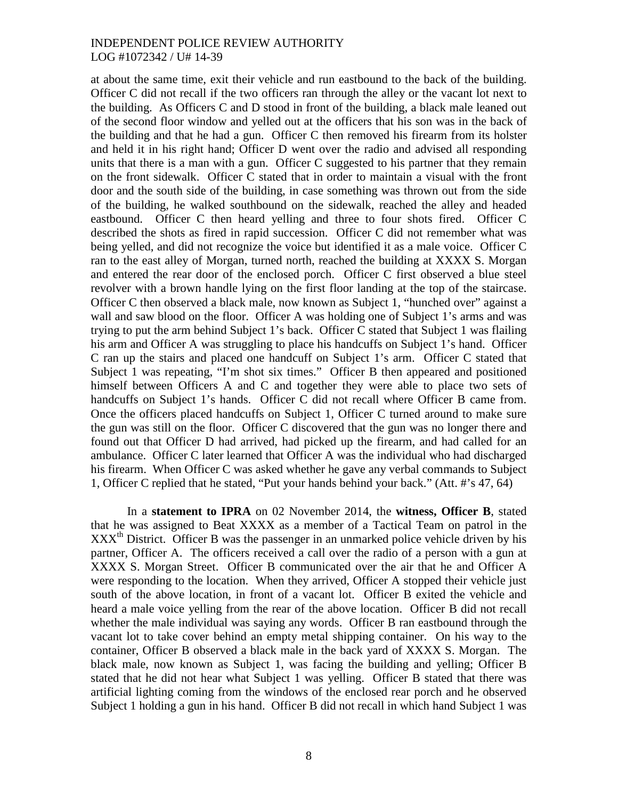at about the same time, exit their vehicle and run eastbound to the back of the building. Officer C did not recall if the two officers ran through the alley or the vacant lot next to the building. As Officers C and D stood in front of the building, a black male leaned out of the second floor window and yelled out at the officers that his son was in the back of the building and that he had a gun. Officer C then removed his firearm from its holster and held it in his right hand; Officer D went over the radio and advised all responding units that there is a man with a gun. Officer C suggested to his partner that they remain on the front sidewalk. Officer C stated that in order to maintain a visual with the front door and the south side of the building, in case something was thrown out from the side of the building, he walked southbound on the sidewalk, reached the alley and headed eastbound. Officer C then heard yelling and three to four shots fired. Officer C described the shots as fired in rapid succession. Officer C did not remember what was being yelled, and did not recognize the voice but identified it as a male voice. Officer C ran to the east alley of Morgan, turned north, reached the building at XXXX S. Morgan and entered the rear door of the enclosed porch. Officer C first observed a blue steel revolver with a brown handle lying on the first floor landing at the top of the staircase. Officer C then observed a black male, now known as Subject 1, "hunched over" against a wall and saw blood on the floor. Officer A was holding one of Subject 1's arms and was trying to put the arm behind Subject 1's back. Officer C stated that Subject 1 was flailing his arm and Officer A was struggling to place his handcuffs on Subject 1's hand. Officer C ran up the stairs and placed one handcuff on Subject 1's arm. Officer C stated that Subject 1 was repeating, "I'm shot six times." Officer B then appeared and positioned himself between Officers A and C and together they were able to place two sets of handcuffs on Subject 1's hands. Officer C did not recall where Officer B came from. Once the officers placed handcuffs on Subject 1, Officer C turned around to make sure the gun was still on the floor. Officer C discovered that the gun was no longer there and found out that Officer D had arrived, had picked up the firearm, and had called for an ambulance. Officer C later learned that Officer A was the individual who had discharged his firearm. When Officer C was asked whether he gave any verbal commands to Subject 1, Officer C replied that he stated, "Put your hands behind your back." (Att. #'s 47, 64)

In a **statement to IPRA** on 02 November 2014, the **witness, Officer B**, stated that he was assigned to Beat XXXX as a member of a Tactical Team on patrol in the  $XXX<sup>th</sup>$  District. Officer B was the passenger in an unmarked police vehicle driven by his partner, Officer A. The officers received a call over the radio of a person with a gun at XXXX S. Morgan Street. Officer B communicated over the air that he and Officer A were responding to the location. When they arrived, Officer A stopped their vehicle just south of the above location, in front of a vacant lot. Officer B exited the vehicle and heard a male voice yelling from the rear of the above location. Officer B did not recall whether the male individual was saying any words. Officer B ran eastbound through the vacant lot to take cover behind an empty metal shipping container. On his way to the container, Officer B observed a black male in the back yard of XXXX S. Morgan. The black male, now known as Subject 1, was facing the building and yelling; Officer B stated that he did not hear what Subject 1 was yelling. Officer B stated that there was artificial lighting coming from the windows of the enclosed rear porch and he observed Subject 1 holding a gun in his hand. Officer B did not recall in which hand Subject 1 was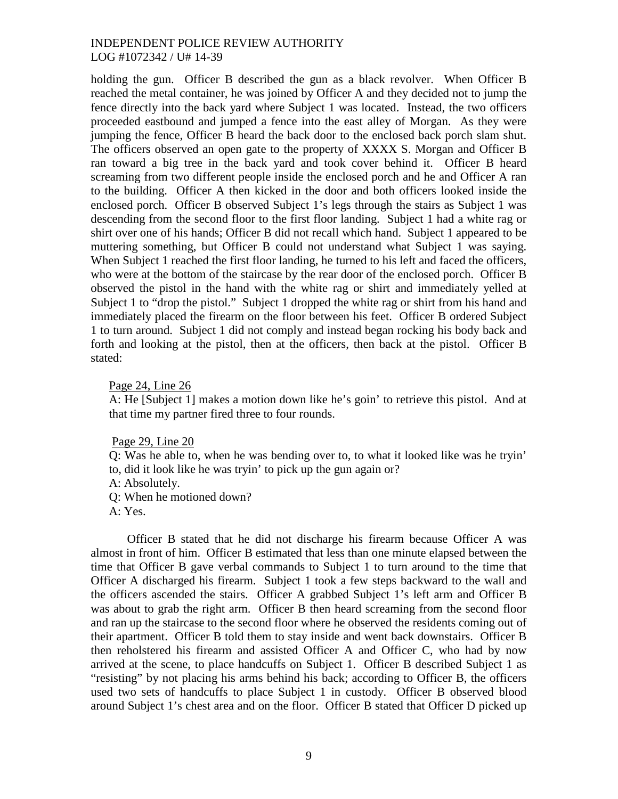holding the gun. Officer B described the gun as a black revolver. When Officer B reached the metal container, he was joined by Officer A and they decided not to jump the fence directly into the back yard where Subject 1 was located. Instead, the two officers proceeded eastbound and jumped a fence into the east alley of Morgan. As they were jumping the fence, Officer B heard the back door to the enclosed back porch slam shut. The officers observed an open gate to the property of XXXX S. Morgan and Officer B ran toward a big tree in the back yard and took cover behind it. Officer B heard screaming from two different people inside the enclosed porch and he and Officer A ran to the building. Officer A then kicked in the door and both officers looked inside the enclosed porch. Officer B observed Subject 1's legs through the stairs as Subject 1 was descending from the second floor to the first floor landing. Subject 1 had a white rag or shirt over one of his hands; Officer B did not recall which hand. Subject 1 appeared to be muttering something, but Officer B could not understand what Subject 1 was saying. When Subject 1 reached the first floor landing, he turned to his left and faced the officers, who were at the bottom of the staircase by the rear door of the enclosed porch. Officer B observed the pistol in the hand with the white rag or shirt and immediately yelled at Subject 1 to "drop the pistol." Subject 1 dropped the white rag or shirt from his hand and immediately placed the firearm on the floor between his feet. Officer B ordered Subject 1 to turn around. Subject 1 did not comply and instead began rocking his body back and forth and looking at the pistol, then at the officers, then back at the pistol. Officer B stated:

#### Page 24, Line 26

A: He [Subject 1] makes a motion down like he's goin' to retrieve this pistol. And at that time my partner fired three to four rounds.

Page 29, Line 20

Q: Was he able to, when he was bending over to, to what it looked like was he tryin' to, did it look like he was tryin' to pick up the gun again or?

- A: Absolutely.
- Q: When he motioned down?
- A: Yes.

Officer B stated that he did not discharge his firearm because Officer A was almost in front of him. Officer B estimated that less than one minute elapsed between the time that Officer B gave verbal commands to Subject 1 to turn around to the time that Officer A discharged his firearm. Subject 1 took a few steps backward to the wall and the officers ascended the stairs. Officer A grabbed Subject 1's left arm and Officer B was about to grab the right arm. Officer B then heard screaming from the second floor and ran up the staircase to the second floor where he observed the residents coming out of their apartment. Officer B told them to stay inside and went back downstairs. Officer B then reholstered his firearm and assisted Officer A and Officer C, who had by now arrived at the scene, to place handcuffs on Subject 1. Officer B described Subject 1 as "resisting" by not placing his arms behind his back; according to Officer B, the officers used two sets of handcuffs to place Subject 1 in custody. Officer B observed blood around Subject 1's chest area and on the floor. Officer B stated that Officer D picked up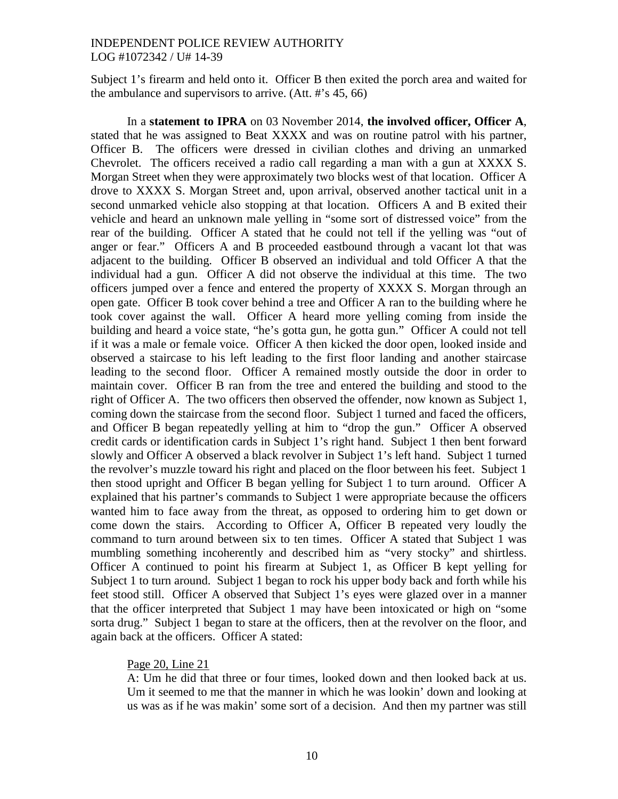Subject 1's firearm and held onto it. Officer B then exited the porch area and waited for the ambulance and supervisors to arrive. (Att. #'s 45, 66)

In a **statement to IPRA** on 03 November 2014, **the involved officer, Officer A**, stated that he was assigned to Beat XXXX and was on routine patrol with his partner, Officer B. The officers were dressed in civilian clothes and driving an unmarked Chevrolet. The officers received a radio call regarding a man with a gun at XXXX S. Morgan Street when they were approximately two blocks west of that location. Officer A drove to XXXX S. Morgan Street and, upon arrival, observed another tactical unit in a second unmarked vehicle also stopping at that location. Officers A and B exited their vehicle and heard an unknown male yelling in "some sort of distressed voice" from the rear of the building. Officer A stated that he could not tell if the yelling was "out of anger or fear." Officers A and B proceeded eastbound through a vacant lot that was adjacent to the building. Officer B observed an individual and told Officer A that the individual had a gun. Officer A did not observe the individual at this time. The two officers jumped over a fence and entered the property of XXXX S. Morgan through an open gate. Officer B took cover behind a tree and Officer A ran to the building where he took cover against the wall. Officer A heard more yelling coming from inside the building and heard a voice state, "he's gotta gun, he gotta gun." Officer A could not tell if it was a male or female voice. Officer A then kicked the door open, looked inside and observed a staircase to his left leading to the first floor landing and another staircase leading to the second floor. Officer A remained mostly outside the door in order to maintain cover. Officer B ran from the tree and entered the building and stood to the right of Officer A. The two officers then observed the offender, now known as Subject 1, coming down the staircase from the second floor. Subject 1 turned and faced the officers, and Officer B began repeatedly yelling at him to "drop the gun." Officer A observed credit cards or identification cards in Subject 1's right hand. Subject 1 then bent forward slowly and Officer A observed a black revolver in Subject 1's left hand. Subject 1 turned the revolver's muzzle toward his right and placed on the floor between his feet. Subject 1 then stood upright and Officer B began yelling for Subject 1 to turn around. Officer A explained that his partner's commands to Subject 1 were appropriate because the officers wanted him to face away from the threat, as opposed to ordering him to get down or come down the stairs. According to Officer A, Officer B repeated very loudly the command to turn around between six to ten times. Officer A stated that Subject 1 was mumbling something incoherently and described him as "very stocky" and shirtless. Officer A continued to point his firearm at Subject 1, as Officer B kept yelling for Subject 1 to turn around. Subject 1 began to rock his upper body back and forth while his feet stood still. Officer A observed that Subject 1's eyes were glazed over in a manner that the officer interpreted that Subject 1 may have been intoxicated or high on "some sorta drug." Subject 1 began to stare at the officers, then at the revolver on the floor, and again back at the officers. Officer A stated:

## Page 20, Line 21

A: Um he did that three or four times, looked down and then looked back at us. Um it seemed to me that the manner in which he was lookin' down and looking at us was as if he was makin' some sort of a decision. And then my partner was still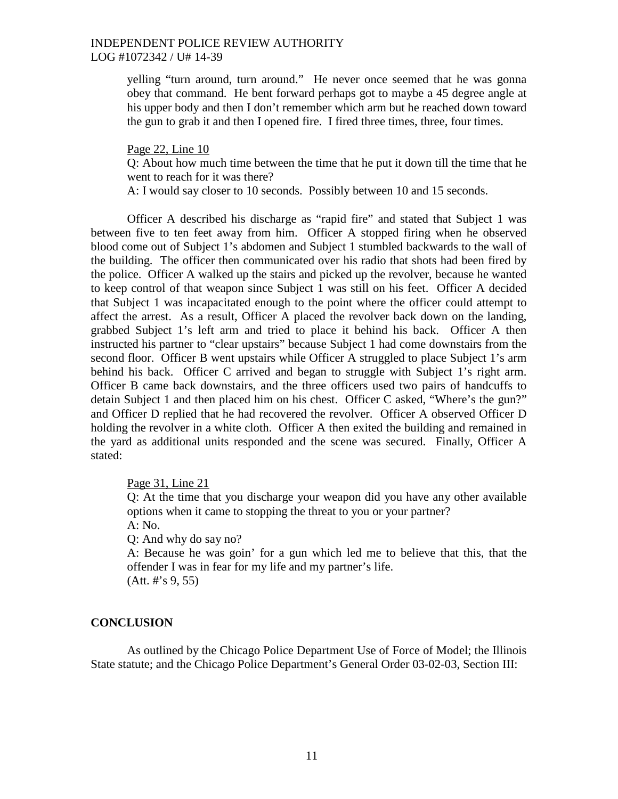yelling "turn around, turn around." He never once seemed that he was gonna obey that command. He bent forward perhaps got to maybe a 45 degree angle at his upper body and then I don't remember which arm but he reached down toward the gun to grab it and then I opened fire. I fired three times, three, four times.

Page 22, Line 10

Q: About how much time between the time that he put it down till the time that he went to reach for it was there?

A: I would say closer to 10 seconds. Possibly between 10 and 15 seconds.

Officer A described his discharge as "rapid fire" and stated that Subject 1 was between five to ten feet away from him. Officer A stopped firing when he observed blood come out of Subject 1's abdomen and Subject 1 stumbled backwards to the wall of the building. The officer then communicated over his radio that shots had been fired by the police. Officer A walked up the stairs and picked up the revolver, because he wanted to keep control of that weapon since Subject 1 was still on his feet. Officer A decided that Subject 1 was incapacitated enough to the point where the officer could attempt to affect the arrest. As a result, Officer A placed the revolver back down on the landing, grabbed Subject 1's left arm and tried to place it behind his back. Officer A then instructed his partner to "clear upstairs" because Subject 1 had come downstairs from the second floor. Officer B went upstairs while Officer A struggled to place Subject 1's arm behind his back. Officer C arrived and began to struggle with Subject 1's right arm. Officer B came back downstairs, and the three officers used two pairs of handcuffs to detain Subject 1 and then placed him on his chest. Officer C asked, "Where's the gun?" and Officer D replied that he had recovered the revolver. Officer A observed Officer D holding the revolver in a white cloth. Officer A then exited the building and remained in the yard as additional units responded and the scene was secured. Finally, Officer A stated:

Page 31, Line 21

Q: At the time that you discharge your weapon did you have any other available options when it came to stopping the threat to you or your partner? A: No.

Q: And why do say no?

A: Because he was goin' for a gun which led me to believe that this, that the offender I was in fear for my life and my partner's life. (Att. #'s 9, 55)

## **CONCLUSION**

As outlined by the Chicago Police Department Use of Force of Model; the Illinois State statute; and the Chicago Police Department's General Order 03-02-03, Section III: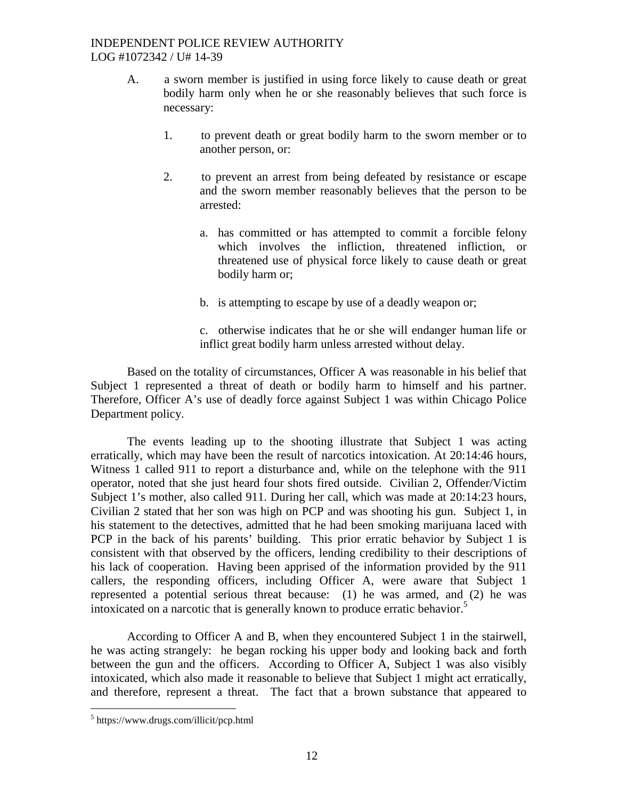- A. a sworn member is justified in using force likely to cause death or great bodily harm only when he or she reasonably believes that such force is necessary:
	- 1. to prevent death or great bodily harm to the sworn member or to another person, or:
	- 2. to prevent an arrest from being defeated by resistance or escape and the sworn member reasonably believes that the person to be arrested:
		- a. has committed or has attempted to commit a forcible felony which involves the infliction, threatened infliction, or threatened use of physical force likely to cause death or great bodily harm or;
		- b. is attempting to escape by use of a deadly weapon or;
		- c. otherwise indicates that he or she will endanger human life or inflict great bodily harm unless arrested without delay.

Based on the totality of circumstances, Officer A was reasonable in his belief that Subject 1 represented a threat of death or bodily harm to himself and his partner. Therefore, Officer A's use of deadly force against Subject 1 was within Chicago Police Department policy.

The events leading up to the shooting illustrate that Subject 1 was acting erratically, which may have been the result of narcotics intoxication. At 20:14:46 hours, Witness 1 called 911 to report a disturbance and, while on the telephone with the 911 operator, noted that she just heard four shots fired outside. Civilian 2, Offender/Victim Subject 1's mother, also called 911. During her call, which was made at 20:14:23 hours, Civilian 2 stated that her son was high on PCP and was shooting his gun. Subject 1, in his statement to the detectives, admitted that he had been smoking marijuana laced with PCP in the back of his parents' building. This prior erratic behavior by Subject 1 is consistent with that observed by the officers, lending credibility to their descriptions of his lack of cooperation. Having been apprised of the information provided by the 911 callers, the responding officers, including Officer A, were aware that Subject 1 represented a potential serious threat because: (1) he was armed, and (2) he was intoxicated on a narcotic that is generally known to produce erratic behavior.<sup>[5](#page-11-0)</sup>

According to Officer A and B, when they encountered Subject 1 in the stairwell, he was acting strangely: he began rocking his upper body and looking back and forth between the gun and the officers. According to Officer A, Subject 1 was also visibly intoxicated, which also made it reasonable to believe that Subject 1 might act erratically, and therefore, represent a threat. The fact that a brown substance that appeared to

<span id="page-11-0"></span><sup>5</sup> https://www.drugs.com/illicit/pcp.html